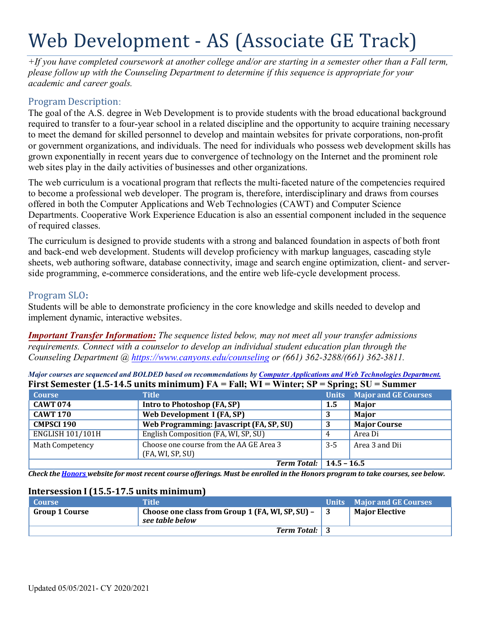# Web Development - AS (Associate GE Track)

*+If you have completed coursework at another college and/or are starting in a semester other than a Fall term, please follow up with the Counseling Department to determine if this sequence is appropriate for your academic and career goals.* 

## Program Description:

The goal of the A.S. degree in Web Development is to provide students with the broad educational background required to transfer to a four-year school in a related discipline and the opportunity to acquire training necessary to meet the demand for skilled personnel to develop and maintain websites for private corporations, non-profit or government organizations, and individuals. The need for individuals who possess web development skills has grown exponentially in recent years due to convergence of technology on the Internet and the prominent role web sites play in the daily activities of businesses and other organizations.

The web curriculum is a vocational program that reflects the multi-faceted nature of the competencies required to become a professional web developer. The program is, therefore, interdisciplinary and draws from courses offered in both the Computer Applications and Web Technologies (CAWT) and Computer Science Departments. Cooperative Work Experience Education is also an essential component included in the sequence of required classes.

The curriculum is designed to provide students with a strong and balanced foundation in aspects of both front and back-end web development. Students will develop proficiency with markup languages, cascading style sheets, web authoring software, database connectivity, image and search engine optimization, client- and serverside programming, e-commerce considerations, and the entire web life-cycle development process.

## Program SLO**:**

Students will be able to demonstrate proficiency in the core knowledge and skills needed to develop and implement dynamic, interactive websites.

*Important Transfer Information: The sequence listed below, may not meet all your transfer admissions requirements. Connect with a counselor to develop an individual student education plan through the Counseling Department @ <https://www.canyons.edu/counseling>or (661) 362-3288/(661) 362-3811.* 

*Major courses are sequenced and BOLDED based on recommendations b[y Computer Applications and Web Technologies Department.](https://www.canyons.edu/academics/computerapplications/index.php)*  **First Semester (1.5-14.5 units minimum) FA = Fall; WI = Winter; SP = Spring; SU = Summer** 

| <b>Course</b>                      | <b>Title</b>                                                | <b>Units</b>  | <b>Major and GE Courses</b> |
|------------------------------------|-------------------------------------------------------------|---------------|-----------------------------|
| <b>CAWT 074</b>                    | Intro to Photoshop (FA, SP)                                 | $1.5^{\circ}$ | Major                       |
| <b>CAWT 170</b>                    | Web Development I (FA, SP)                                  |               | Major                       |
| <b>CMPSCI 190</b>                  | Web Programming: Javascript (FA, SP, SU)                    |               | <b>Major Course</b>         |
| <b>ENGLISH 101/101H</b>            | English Composition (FA, WI, SP, SU)                        |               | Area Di                     |
| Math Competency                    | Choose one course from the AA GE Area 3<br>(FA, WI, SP, SU) | $3 - 5$       | Area 3 and Dii              |
| <b>Term Total:</b>   $14.5 - 16.5$ |                                                             |               |                             |

 *Check th[e Honors w](https://www.canyons.edu/academics/honors/index.php)ebsite for most recent course offerings. Must be enrolled in the Honors program to take courses, see below.* 

#### **Intersession I (15.5-17.5 units minimum)**

| <b>Course</b>  | Title                                                                   | Units Major and GE Courses |
|----------------|-------------------------------------------------------------------------|----------------------------|
| Group 1 Course | Choose one class from Group 1 (FA, WI, SP, SU) $-$ 3<br>see table below | <b>Major Elective</b>      |
|                | <b>Term Total:</b> 3                                                    |                            |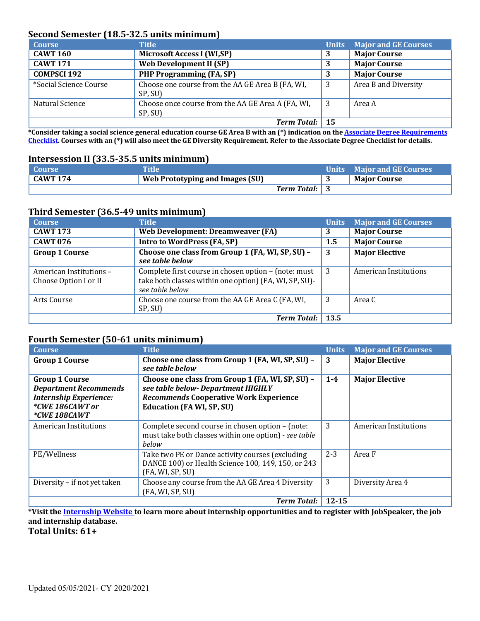## **Second Semester (18.5-32.5 units minimum)**

| <b>Course</b>          | <b>Title</b>                                                 | <b>Units</b> | <b>Major and GE Courses</b> |
|------------------------|--------------------------------------------------------------|--------------|-----------------------------|
| <b>CAWT 160</b>        | <b>Microsoft Access I (WI,SP)</b>                            | 3            | <b>Major Course</b>         |
| <b>CAWT 171</b>        | <b>Web Development II (SP)</b>                               |              | <b>Major Course</b>         |
| <b>COMPSCI 192</b>     | <b>PHP Programming (FA, SP)</b>                              |              | <b>Major Course</b>         |
| *Social Science Course | Choose one course from the AA GE Area B (FA, WI,<br>SP, SU)  | 3            | Area B and Diversity        |
| Natural Science        | Choose once course from the AA GE Area A (FA, WI,<br>SP, SU) |              | Area A                      |
|                        | Term Total: 15                                               |              |                             |

 **[Checklist. C](https://www.canyons.edu/studentservices/counseling/degrees/generaled.php)ourses with an (\*) will also meet the GE Diversity Requirement. Refer to the Associate Degree Checklist for details. \*Consider taking a social science general education course GE Area B with an (\*) indication on th[e Associate Degree Requirements](https://www.canyons.edu/studentservices/counseling/degrees/generaled.php)** 

#### **Intersession II (33.5-35.5 units minimum)**

| Course              | Title                           |                      | Units Major and GE Courses |
|---------------------|---------------------------------|----------------------|----------------------------|
| $^{\circ}$ CAWT 174 | Web Prototyping and Images (SU) |                      | <b>Maior Course</b>        |
|                     |                                 | <b>Term Total:</b> 3 |                            |

### **Third Semester (36.5-49 units minimum)**

| <b>Course</b>                                    | <b>Title</b>                                                                                                                      | <b>Units</b> | <b>Major and GE Courses</b> |
|--------------------------------------------------|-----------------------------------------------------------------------------------------------------------------------------------|--------------|-----------------------------|
| <b>CAWT 173</b>                                  | Web Development: Dreamweaver (FA)                                                                                                 | 3            | <b>Major Course</b>         |
| <b>CAWT 076</b>                                  | Intro to WordPress (FA, SP)                                                                                                       | 1.5          | <b>Major Course</b>         |
| <b>Group 1 Course</b>                            | Choose one class from Group 1 (FA, WI, SP, SU) -<br>see table below                                                               | 3            | <b>Major Elective</b>       |
| American Institutions -<br>Choose Option I or II | Complete first course in chosen option - (note: must<br>take both classes within one option) (FA, WI, SP, SU)-<br>see table below | 3            | American Institutions       |
| Arts Course                                      | Choose one course from the AA GE Area C (FA, WI,<br>SP, SU)                                                                       | 3            | Area C                      |
|                                                  | <b>Term Total:</b>                                                                                                                | 13.5         |                             |

## **Fourth Semester (50-61 units minimum)**

| <b>Course</b>                                                                                                             | <b>Title</b>                                                                                                                                                                | <b>Units</b> | <b>Major and GE Courses</b> |
|---------------------------------------------------------------------------------------------------------------------------|-----------------------------------------------------------------------------------------------------------------------------------------------------------------------------|--------------|-----------------------------|
| <b>Group 1 Course</b>                                                                                                     | Choose one class from Group 1 (FA, WI, SP, SU) -<br>see table below                                                                                                         | 3            | <b>Major Elective</b>       |
| <b>Group 1 Course</b><br><b>Department Recommends</b><br><b>Internship Experience:</b><br>*CWE 186CAWT or<br>*CWE 188CAWT | Choose one class from Group 1 (FA, WI, SP, SU) -<br>see table below- Department HIGHLY<br><b>Recommends Cooperative Work Experience</b><br><b>Education (FA WI, SP, SU)</b> | $1 - 4$      | <b>Major Elective</b>       |
| American Institutions                                                                                                     | Complete second course in chosen option – (note:<br>must take both classes within one option) - see table<br>below                                                          | 3            | American Institutions       |
| PE/Wellness                                                                                                               | Take two PE or Dance activity courses (excluding<br>DANCE 100) or Health Science 100, 149, 150, or 243<br>(FA, WI, SP, SU)                                                  | $2 - 3$      | Area F                      |
| Diversity - if not yet taken                                                                                              | Choose any course from the AA GE Area 4 Diversity<br>(FA, WI, SP, SU)                                                                                                       | 3            | Diversity Area 4            |
|                                                                                                                           | <b>Term Total:</b>                                                                                                                                                          | $12 - 15$    |                             |

**\*Visit th[e Internship Website t](https://www.canyons.edu/studentservices/internships/index.php)o learn more about internship opportunities and to register with JobSpeaker, the job and internship database.** 

**Total Units: 61+**